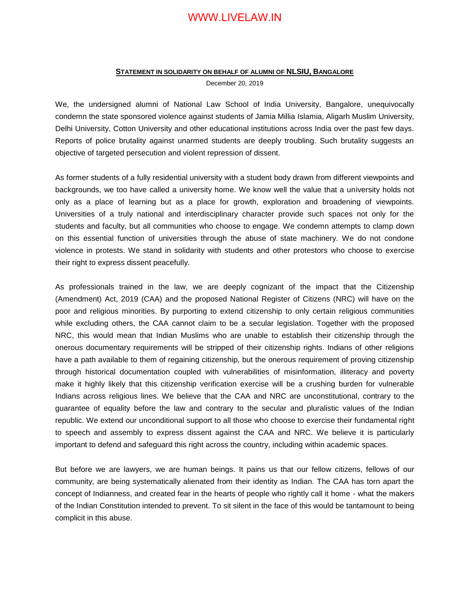#### **STATEMENT IN SOLIDARITY ON BEHALF OF ALUMNI OF NLSIU, BANGALORE**

December 20, 2019

We, the undersigned alumni of National Law School of India University, Bangalore, unequivocally condemn the state sponsored violence against students of Jamia Millia Islamia, Aligarh Muslim University, Delhi University, Cotton University and other educational institutions across India over the past few days. Reports of police brutality against unarmed students are deeply troubling. Such brutality suggests an objective of targeted persecution and violent repression of dissent.

As former students of a fully residential university with a student body drawn from different viewpoints and backgrounds, we too have called a university home. We know well the value that a university holds not only as a place of learning but as a place for growth, exploration and broadening of viewpoints. Universities of a truly national and interdisciplinary character provide such spaces not only for the students and faculty, but all communities who choose to engage. We condemn attempts to clamp down on this essential function of universities through the abuse of state machinery. We do not condone violence in protests. We stand in solidarity with students and other protestors who choose to exercise their right to express dissent peacefully.

As professionals trained in the law, we are deeply cognizant of the impact that the Citizenship (Amendment) Act, 2019 (CAA) and the proposed National Register of Citizens (NRC) will have on the poor and religious minorities. By purporting to extend citizenship to only certain religious communities while excluding others, the CAA cannot claim to be a secular legislation. Together with the proposed NRC, this would mean that Indian Muslims who are unable to establish their citizenship through the onerous documentary requirements will be stripped of their citizenship rights. Indians of other religions have a path available to them of regaining citizenship, but the onerous requirement of proving citizenship through historical documentation coupled with vulnerabilities of misinformation, illiteracy and poverty make it highly likely that this citizenship verification exercise will be a crushing burden for vulnerable Indians across religious lines. We believe that the CAA and NRC are unconstitutional, contrary to the guarantee of equality before the law and contrary to the secular and pluralistic values of the Indian republic. We extend our unconditional support to all those who choose to exercise their fundamental right to speech and assembly to express dissent against the CAA and NRC. We believe it is particularly important to defend and safeguard this right across the country, including within academic spaces.

But before we are lawyers, we are human beings. It pains us that our fellow citizens, fellows of our community, are being systematically alienated from their identity as Indian. The CAA has torn apart the concept of Indianness, and created fear in the hearts of people who rightly call it home - what the makers of the Indian Constitution intended to prevent. To sit silent in the face of this would be tantamount to being complicit in this abuse.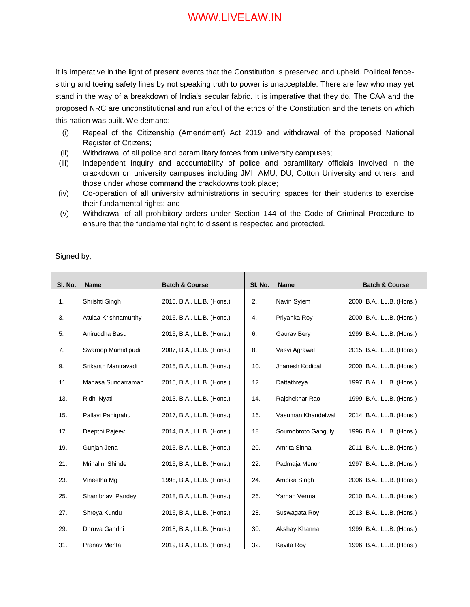It is imperative in the light of present events that the Constitution is preserved and upheld. Political fencesitting and toeing safety lines by not speaking truth to power is unacceptable. There are few who may yet stand in the way of a breakdown of India's secular fabric. It is imperative that they do. The CAA and the proposed NRC are unconstitutional and run afoul of the ethos of the Constitution and the tenets on which this nation was built. We demand:

- (i) Repeal of the Citizenship (Amendment) Act 2019 and withdrawal of the proposed National Register of Citizens;
- (ii) Withdrawal of all police and paramilitary forces from university campuses;
- (iii) Independent inquiry and accountability of police and paramilitary officials involved in the crackdown on university campuses including JMI, AMU, DU, Cotton University and others, and those under whose command the crackdowns took place;
- (iv) Co-operation of all university administrations in securing spaces for their students to exercise their fundamental rights; and
- (v) Withdrawal of all prohibitory orders under Section 144 of the Code of Criminal Procedure to ensure that the fundamental right to dissent is respected and protected.

Signed by,

| SI. No. | <b>Name</b>          | <b>Batch &amp; Course</b> | SI. No. | <b>Name</b>        | <b>Batch &amp; Course</b> |
|---------|----------------------|---------------------------|---------|--------------------|---------------------------|
|         |                      |                           |         |                    |                           |
| 1.      | Shrishti Singh       | 2015, B.A., LL.B. (Hons.) | 2.      | Navin Syiem        | 2000, B.A., LL.B. (Hons.) |
| 3.      | Atulaa Krishnamurthy | 2016, B.A., LL.B. (Hons.) | 4.      | Priyanka Roy       | 2000, B.A., LL.B. (Hons.) |
| 5.      | Aniruddha Basu       | 2015, B.A., LL.B. (Hons.) | 6.      | Gaurav Bery        | 1999, B.A., LL.B. (Hons.) |
| 7.      | Swaroop Mamidipudi   | 2007, B.A., LL.B. (Hons.) | 8.      | Vasvi Agrawal      | 2015, B.A., LL.B. (Hons.) |
| 9.      | Srikanth Mantravadi  | 2015, B.A., LL.B. (Hons.) | 10.     | Jnanesh Kodical    | 2000, B.A., LL.B. (Hons.) |
| 11.     | Manasa Sundarraman   | 2015, B.A., LL.B. (Hons.) | 12.     | Dattathreya        | 1997, B.A., LL.B. (Hons.) |
| 13.     | Ridhi Nyati          | 2013, B.A., LL.B. (Hons.) | 14.     | Rajshekhar Rao     | 1999, B.A., LL.B. (Hons.) |
| 15.     | Pallavi Panigrahu    | 2017, B.A., LL.B. (Hons.) | 16.     | Vasuman Khandelwal | 2014, B.A., LL.B. (Hons.) |
| 17.     | Deepthi Rajeev       | 2014, B.A., LL.B. (Hons.) | 18.     | Soumobroto Ganguly | 1996, B.A., LL.B. (Hons.) |
| 19.     | Gunjan Jena          | 2015, B.A., LL.B. (Hons.) | 20.     | Amrita Sinha       | 2011, B.A., LL.B. (Hons.) |
| 21.     | Mrinalini Shinde     | 2015, B.A., LL.B. (Hons.) | 22.     | Padmaja Menon      | 1997, B.A., LL.B. (Hons.) |
| 23.     | Vineetha Mg          | 1998, B.A., LL.B. (Hons.) | 24.     | Ambika Singh       | 2006, B.A., LL.B. (Hons.) |
| 25.     | Shambhavi Pandey     | 2018, B.A., LL.B. (Hons.) | 26.     | Yaman Verma        | 2010, B.A., LL.B. (Hons.) |
| 27.     | Shreya Kundu         | 2016, B.A., LL.B. (Hons.) | 28.     | Suswagata Roy      | 2013, B.A., LL.B. (Hons.) |
| 29.     | Dhruva Gandhi        | 2018, B.A., LL.B. (Hons.) | 30.     | Akshay Khanna      | 1999, B.A., LL.B. (Hons.) |
| 31.     | Pranav Mehta         | 2019, B.A., LL.B. (Hons.) | 32.     | Kavita Roy         | 1996, B.A., LL.B. (Hons.) |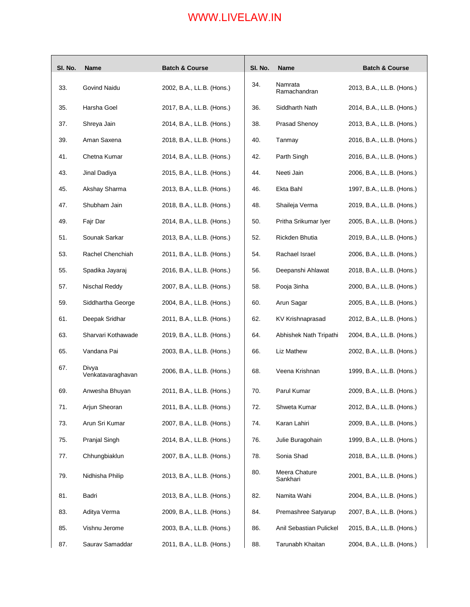| SI. No. | <b>Name</b>                | <b>Batch &amp; Course</b> | SI. No. | <b>Name</b>               | <b>Batch &amp; Course</b> |
|---------|----------------------------|---------------------------|---------|---------------------------|---------------------------|
| 33.     | Govind Naidu               | 2002, B.A., LL.B. (Hons.) | 34.     | Namrata<br>Ramachandran   | 2013, B.A., LL.B. (Hons.) |
| 35.     | Harsha Goel                | 2017, B.A., LL.B. (Hons.) | 36.     | Siddharth Nath            | 2014, B.A., LL.B. (Hons.) |
| 37.     | Shreya Jain                | 2014, B.A., LL.B. (Hons.) | 38.     | Prasad Shenoy             | 2013, B.A., LL.B. (Hons.) |
| 39.     | Aman Saxena                | 2018, B.A., LL.B. (Hons.) | 40.     | Tanmay                    | 2016, B.A., LL.B. (Hons.) |
| 41.     | Chetna Kumar               | 2014, B.A., LL.B. (Hons.) | 42.     | Parth Singh               | 2016, B.A., LL.B. (Hons.) |
| 43.     | Jinal Dadiya               | 2015, B.A., LL.B. (Hons.) | 44.     | Neeti Jain                | 2006, B.A., LL.B. (Hons.) |
| 45.     | Akshay Sharma              | 2013, B.A., LL.B. (Hons.) | 46.     | Ekta Bahl                 | 1997, B.A., LL.B. (Hons.) |
| 47.     | Shubham Jain               | 2018, B.A., LL.B. (Hons.) | 48.     | Shaileja Verma            | 2019, B.A., LL.B. (Hons.) |
| 49.     | Fajr Dar                   | 2014, B.A., LL.B. (Hons.) | 50.     | Pritha Srikumar Iyer      | 2005, B.A., LL.B. (Hons.) |
| 51.     | Sounak Sarkar              | 2013, B.A., LL.B. (Hons.) | 52.     | Rickden Bhutia            | 2019, B.A., LL.B. (Hons.) |
| 53.     | Rachel Chenchiah           | 2011, B.A., LL.B. (Hons.) | 54.     | Rachael Israel            | 2006, B.A., LL.B. (Hons.) |
| 55.     | Spadika Jayaraj            | 2016, B.A., LL.B. (Hons.) | 56.     | Deepanshi Ahlawat         | 2018, B.A., LL.B. (Hons.) |
| 57.     | Nischal Reddy              | 2007, B.A., LL.B. (Hons.) | 58.     | Pooja 3inha               | 2000, B.A., LL.B. (Hons.) |
| 59.     | Siddhartha George          | 2004, B.A., LL.B. (Hons.) | 60.     | Arun Sagar                | 2005, B.A., LL.B. (Hons.) |
| 61.     | Deepak Sridhar             | 2011, B.A., LL.B. (Hons.) | 62.     | KV Krishnaprasad          | 2012, B.A., LL.B. (Hons.) |
| 63.     | Sharvari Kothawade         | 2019, B.A., LL.B. (Hons.) | 64.     | Abhishek Nath Tripathi    | 2004, B.A., LL.B. (Hons.) |
| 65.     | Vandana Pai                | 2003, B.A., LL.B. (Hons.) | 66.     | Liz Mathew                | 2002, B.A., LL.B. (Hons.) |
| 67.     | Divya<br>Venkatavaraghavan | 2006, B.A., LL.B. (Hons.) | 68.     | Veena Krishnan            | 1999, B.A., LL.B. (Hons.) |
| 69.     | Anwesha Bhuyan             | 2011, B.A., LL.B. (Hons.) | 70.     | Parul Kumar               | 2009, B.A., LL.B. (Hons.) |
| 71.     | Arjun Sheoran              | 2011, B.A., LL.B. (Hons.) | 72.     | Shweta Kumar              | 2012, B.A., LL.B. (Hons.) |
| 73.     | Arun Sri Kumar             | 2007, B.A., LL.B. (Hons.) | 74.     | Karan Lahiri              | 2009, B.A., LL.B. (Hons.) |
| 75.     | Pranjal Singh              | 2014, B.A., LL.B. (Hons.) | 76.     | Julie Buragohain          | 1999, B.A., LL.B. (Hons.) |
| 77.     | Chhungbiaklun              | 2007, B.A., LL.B. (Hons.) | 78.     | Sonia Shad                | 2018, B.A., LL.B. (Hons.) |
| 79.     | Nidhisha Philip            | 2013, B.A., LL.B. (Hons.) | 80.     | Meera Chature<br>Sankhari | 2001, B.A., LL.B. (Hons.) |
| 81.     | Badri                      | 2013, B.A., LL.B. (Hons.) | 82.     | Namita Wahi               | 2004, B.A., LL.B. (Hons.) |
| 83.     | Aditya Verma               | 2009, B.A., LL.B. (Hons.) | 84.     | Premashree Satyarup       | 2007, B.A., LL.B. (Hons.) |
| 85.     | Vishnu Jerome              | 2003, B.A., LL.B. (Hons.) | 86.     | Anil Sebastian Pulickel   | 2015, B.A., LL.B. (Hons.) |
| 87.     | Saurav Samaddar            | 2011, B.A., LL.B. (Hons.) | 88.     | Tarunabh Khaitan          | 2004, B.A., LL.B. (Hons.) |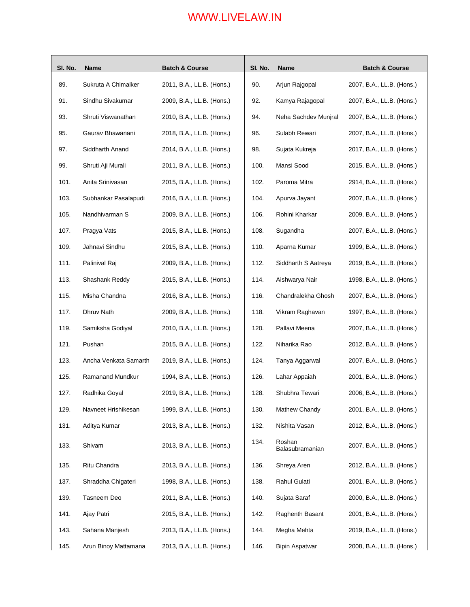| SI. No. | Name                  | <b>Batch &amp; Course</b> | SI. No. | Name                      | <b>Batch &amp; Course</b> |
|---------|-----------------------|---------------------------|---------|---------------------------|---------------------------|
| 89.     | Sukruta A Chimalker   | 2011, B.A., LL.B. (Hons.) | 90.     | Arjun Rajgopal            | 2007, B.A., LL.B. (Hons.) |
| 91.     | Sindhu Sivakumar      | 2009, B.A., LL.B. (Hons.) | 92.     | Kamya Rajagopal           | 2007, B.A., LL.B. (Hons.) |
| 93.     | Shruti Viswanathan    | 2010, B.A., LL.B. (Hons.) | 94.     | Neha Sachdev Munjral      | 2007, B.A., LL.B. (Hons.) |
| 95.     | Gaurav Bhawanani      | 2018, B.A., LL.B. (Hons.) | 96.     | Sulabh Rewari             | 2007, B.A., LL.B. (Hons.) |
| 97.     | Siddharth Anand       | 2014, B.A., LL.B. (Hons.) | 98.     | Sujata Kukreja            | 2017, B.A., LL.B. (Hons.) |
| 99.     | Shruti Aji Murali     | 2011, B.A., LL.B. (Hons.) | 100.    | Mansi Sood                | 2015, B.A., LL.B. (Hons.) |
| 101.    | Anita Srinivasan      | 2015, B.A., LL.B. (Hons.) | 102.    | Paroma Mitra              | 2914, B.A., LL.B. (Hons.) |
| 103.    | Subhankar Pasalapudi  | 2016, B.A., LL.B. (Hons.) | 104.    | Apurva Jayant             | 2007, B.A., LL.B. (Hons.) |
| 105.    | Nandhivarman S        | 2009, B.A., LL.B. (Hons.) | 106.    | Rohini Kharkar            | 2009, B.A., LL.B. (Hons.) |
| 107.    | Pragya Vats           | 2015, B.A., LL.B. (Hons.) | 108.    | Sugandha                  | 2007, B.A., LL.B. (Hons.) |
| 109.    | Jahnavi Sindhu        | 2015, B.A., LL.B. (Hons.) | 110.    | Aparna Kumar              | 1999, B.A., LL.B. (Hons.) |
| 111.    | Palinival Raj         | 2009, B.A., LL.B. (Hons.) | 112.    | Siddharth S Aatreya       | 2019, B.A., LL.B. (Hons.) |
| 113.    | Shashank Reddy        | 2015, B.A., LL.B. (Hons.) | 114.    | Aishwarya Nair            | 1998, B.A., LL.B. (Hons.) |
| 115.    | Misha Chandna         | 2016, B.A., LL.B. (Hons.) | 116.    | Chandralekha Ghosh        | 2007, B.A., LL.B. (Hons.) |
| 117.    | Dhruv Nath            | 2009, B.A., LL.B. (Hons.) | 118.    | Vikram Raghavan           | 1997, B.A., LL.B. (Hons.) |
| 119.    | Samiksha Godiyal      | 2010, B.A., LL.B. (Hons.) | 120.    | Pallavi Meena             | 2007, B.A., LL.B. (Hons.) |
| 121.    | Pushan                | 2015, B.A., LL.B. (Hons.) | 122.    | Niharika Rao              | 2012, B.A., LL.B. (Hons.) |
| 123.    | Ancha Venkata Samarth | 2019, B.A., LL.B. (Hons.) | 124.    | Tanya Aggarwal            | 2007, B.A., LL.B. (Hons.) |
| 125.    | Ramanand Mundkur      | 1994, B.A., LL.B. (Hons.) | 126.    | Lahar Appaiah             | 2001, B.A., LL.B. (Hons.) |
| 127.    | Radhika Goyal         | 2019, B.A., LL.B. (Hons.) | 128.    | Shubhra Tewari            | 2006, B.A., LL.B. (Hons.) |
| 129.    | Navneet Hrishikesan   | 1999, B.A., LL.B. (Hons.) | 130.    | Mathew Chandy             | 2001, B.A., LL.B. (Hons.) |
| 131.    | Aditya Kumar          | 2013, B.A., LL.B. (Hons.) | 132.    | Nishita Vasan             | 2012, B.A., LL.B. (Hons.) |
| 133.    | Shivam                | 2013, B.A., LL.B. (Hons.) | 134.    | Roshan<br>Balasubramanian | 2007, B.A., LL.B. (Hons.) |
| 135.    | Ritu Chandra          | 2013, B.A., LL.B. (Hons.) | 136.    | Shreya Aren               | 2012, B.A., LL.B. (Hons.) |
| 137.    | Shraddha Chigateri    | 1998, B.A., LL.B. (Hons.) | 138.    | Rahul Gulati              | 2001, B.A., LL.B. (Hons.) |
| 139.    | Tasneem Deo           | 2011, B.A., LL.B. (Hons.) | 140.    | Sujata Saraf              | 2000, B.A., LL.B. (Hons.) |
| 141.    | Ajay Patri            | 2015, B.A., LL.B. (Hons.) | 142.    | Raghenth Basant           | 2001, B.A., LL.B. (Hons.) |
| 143.    | Sahana Manjesh        | 2013, B.A., LL.B. (Hons.) | 144.    | Megha Mehta               | 2019, B.A., LL.B. (Hons.) |
| 145.    | Arun Binoy Mattamana  | 2013, B.A., LL.B. (Hons.) | 146.    | <b>Bipin Aspatwar</b>     | 2008, B.A., LL.B. (Hons.) |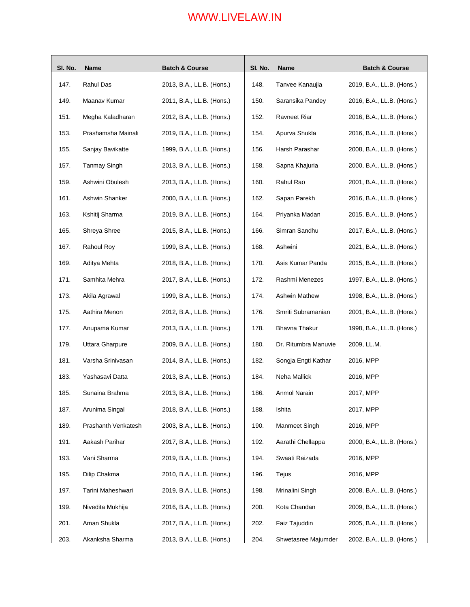| SI. No. | Name                | <b>Batch &amp; Course</b> | SI. No. | <b>Name</b>          | <b>Batch &amp; Course</b> |
|---------|---------------------|---------------------------|---------|----------------------|---------------------------|
| 147.    | Rahul Das           | 2013, B.A., LL.B. (Hons.) | 148.    | Tanvee Kanaujia      | 2019, B.A., LL.B. (Hons.) |
| 149.    | Maanav Kumar        | 2011, B.A., LL.B. (Hons.) | 150.    | Saransika Pandey     | 2016, B.A., LL.B. (Hons.) |
| 151.    | Megha Kaladharan    | 2012, B.A., LL.B. (Hons.) | 152.    | Ravneet Riar         | 2016, B.A., LL.B. (Hons.) |
| 153.    | Prashamsha Mainali  | 2019, B.A., LL.B. (Hons.) | 154.    | Apurva Shukla        | 2016, B.A., LL.B. (Hons.) |
| 155.    | Sanjay Bavikatte    | 1999, B.A., LL.B. (Hons.) | 156.    | Harsh Parashar       | 2008, B.A., LL.B. (Hons.) |
| 157.    | <b>Tanmay Singh</b> | 2013, B.A., LL.B. (Hons.) | 158.    | Sapna Khajuria       | 2000, B.A., LL.B. (Hons.) |
| 159.    | Ashwini Obulesh     | 2013, B.A., LL.B. (Hons.) | 160.    | Rahul Rao            | 2001, B.A., LL.B. (Hons.) |
| 161.    | Ashwin Shanker      | 2000, B.A., LL.B. (Hons.) | 162.    | Sapan Parekh         | 2016, B.A., LL.B. (Hons.) |
| 163.    | Kshitij Sharma      | 2019, B.A., LL.B. (Hons.) | 164.    | Priyanka Madan       | 2015, B.A., LL.B. (Hons.) |
| 165.    | Shreya Shree        | 2015, B.A., LL.B. (Hons.) | 166.    | Simran Sandhu        | 2017, B.A., LL.B. (Hons.) |
| 167.    | Rahoul Roy          | 1999, B.A., LL.B. (Hons.) | 168.    | Ashwini              | 2021, B.A., LL.B. (Hons.) |
| 169.    | Aditya Mehta        | 2018, B.A., LL.B. (Hons.) | 170.    | Asis Kumar Panda     | 2015, B.A., LL.B. (Hons.) |
| 171.    | Samhita Mehra       | 2017, B.A., LL.B. (Hons.) | 172.    | Rashmi Menezes       | 1997, B.A., LL.B. (Hons.) |
| 173.    | Akila Agrawal       | 1999, B.A., LL.B. (Hons.) | 174.    | Ashwin Mathew        | 1998, B.A., LL.B. (Hons.) |
| 175.    | Aathira Menon       | 2012, B.A., LL.B. (Hons.) | 176.    | Smriti Subramanian   | 2001, B.A., LL.B. (Hons.) |
| 177.    | Anupama Kumar       | 2013, B.A., LL.B. (Hons.) | 178.    | Bhavna Thakur        | 1998, B.A., LL.B. (Hons.) |
| 179.    | Uttara Gharpure     | 2009, B.A., LL.B. (Hons.) | 180.    | Dr. Ritumbra Manuvie | 2009, LL.M.               |
| 181.    | Varsha Srinivasan   | 2014, B.A., LL.B. (Hons.) | 182.    | Songja Engti Kathar  | 2016, MPP                 |
| 183.    | Yashasavi Datta     | 2013, B.A., LL.B. (Hons.) | 184.    | Neha Mallick         | 2016, MPP                 |
| 185.    | Sunaina Brahma      | 2013, B.A., LL.B. (Hons.) | 186.    | Anmol Narain         | 2017, MPP                 |
| 187.    | Arunima Singal      | 2018, B.A., LL.B. (Hons.) | 188.    | Ishita               | 2017, MPP                 |
| 189.    | Prashanth Venkatesh | 2003, B.A., LL.B. (Hons.) | 190.    | Manmeet Singh        | 2016, MPP                 |
| 191.    | Aakash Parihar      | 2017, B.A., LL.B. (Hons.) | 192.    | Aarathi Chellappa    | 2000, B.A., LL.B. (Hons.) |
| 193.    | Vani Sharma         | 2019, B.A., LL.B. (Hons.) | 194.    | Swaati Raizada       | 2016, MPP                 |
| 195.    | Dilip Chakma        | 2010, B.A., LL.B. (Hons.) | 196.    | Tejus                | 2016, MPP                 |
| 197.    | Tarini Maheshwari   | 2019, B.A., LL.B. (Hons.) | 198.    | Mrinalini Singh      | 2008, B.A., LL.B. (Hons.) |
| 199.    | Nivedita Mukhija    | 2016, B.A., LL.B. (Hons.) | 200.    | Kota Chandan         | 2009, B.A., LL.B. (Hons.) |
| 201.    | Aman Shukla         | 2017, B.A., LL.B. (Hons.) | 202.    | Faiz Tajuddin        | 2005, B.A., LL.B. (Hons.) |
| 203.    | Akanksha Sharma     | 2013, B.A., LL.B. (Hons.) | 204.    | Shwetasree Majumder  | 2002, B.A., LL.B. (Hons.) |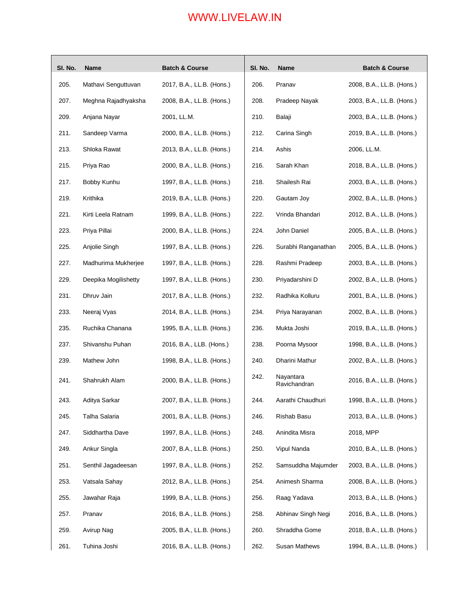| SI. No. | <b>Name</b>          | <b>Batch &amp; Course</b> | SI. No. | Name                      | <b>Batch &amp; Course</b> |
|---------|----------------------|---------------------------|---------|---------------------------|---------------------------|
| 205.    | Mathavi Senguttuvan  | 2017, B.A., LL.B. (Hons.) | 206.    | Pranav                    | 2008, B.A., LL.B. (Hons.) |
| 207.    | Meghna Rajadhyaksha  | 2008, B.A., LL.B. (Hons.) | 208.    | Pradeep Nayak             | 2003, B.A., LL.B. (Hons.) |
| 209.    | Anjana Nayar         | 2001, LL.M.               | 210.    | Balaji                    | 2003, B.A., LL.B. (Hons.) |
| 211.    | Sandeep Varma        | 2000, B.A., LL.B. (Hons.) | 212.    | Carina Singh              | 2019, B.A., LL.B. (Hons.) |
| 213.    | Shloka Rawat         | 2013, B.A., LL.B. (Hons.) | 214.    | Ashis                     | 2006, LL.M.               |
| 215.    | Priya Rao            | 2000, B.A., LL.B. (Hons.) | 216.    | Sarah Khan                | 2018, B.A., LL.B. (Hons.) |
| 217.    | Bobby Kunhu          | 1997, B.A., LL.B. (Hons.) | 218.    | Shailesh Rai              | 2003, B.A., LL.B. (Hons.) |
| 219.    | Krithika             | 2019, B.A., LL.B. (Hons.) | 220.    | Gautam Joy                | 2002, B.A., LL.B. (Hons.) |
| 221.    | Kirti Leela Ratnam   | 1999, B.A., LL.B. (Hons.) | 222.    | Vrinda Bhandari           | 2012, B.A., LL.B. (Hons.) |
| 223.    | Priya Pillai         | 2000, B.A., LL.B. (Hons.) | 224.    | John Daniel               | 2005, B.A., LL.B. (Hons.) |
| 225.    | Anjolie Singh        | 1997, B.A., LL.B. (Hons.) | 226.    | Surabhi Ranganathan       | 2005, B.A., LL.B. (Hons.) |
| 227.    | Madhurima Mukherjee  | 1997, B.A., LL.B. (Hons.) | 228.    | Rashmi Pradeep            | 2003, B.A., LL.B. (Hons.) |
| 229.    | Deepika Mogilishetty | 1997, B.A., LL.B. (Hons.) | 230.    | Priyadarshini D           | 2002, B.A., LL.B. (Hons.) |
| 231.    | Dhruv Jain           | 2017, B.A., LL.B. (Hons.) | 232.    | Radhika Kolluru           | 2001, B.A., LL.B. (Hons.) |
| 233.    | Neeraj Vyas          | 2014, B.A., LL.B. (Hons.) | 234.    | Priya Narayanan           | 2002, B.A., LL.B. (Hons.) |
| 235.    | Ruchika Chanana      | 1995, B.A., LL.B. (Hons.) | 236.    | Mukta Joshi               | 2019, B.A., LL.B. (Hons.) |
| 237.    | Shivanshu Puhan      | 2016, B.A., LLB. (Hons.)  | 238.    | Poorna Mysoor             | 1998, B.A., LL.B. (Hons.) |
| 239.    | Mathew John          | 1998, B.A., LL.B. (Hons.) | 240.    | Dharini Mathur            | 2002, B.A., LL.B. (Hons.) |
| 241.    | Shahrukh Alam        | 2000, B.A., LL.B. (Hons.) | 242.    | Nayantara<br>Ravichandran | 2016, B.A., LL.B. (Hons.) |
| 243.    | Aditya Sarkar        | 2007, B.A., LL.B. (Hons.) | 244.    | Aarathi Chaudhuri         | 1998, B.A., LL.B. (Hons.) |
| 245.    | Talha Salaria        | 2001, B.A., LL.B. (Hons.) | 246.    | Rishab Basu               | 2013, B.A., LL.B. (Hons.) |
| 247.    | Siddhartha Dave      | 1997, B.A., LL.B. (Hons.) | 248.    | Anindita Misra            | 2018, MPP                 |
| 249.    | Ankur Singla         | 2007, B.A., LL.B. (Hons.) | 250.    | Vipul Nanda               | 2010, B.A., LL.B. (Hons.) |
| 251.    | Senthil Jagadeesan   | 1997, B.A., LL.B. (Hons.) | 252.    | Samsuddha Majumder        | 2003, B.A., LL.B. (Hons.) |
| 253.    | Vatsala Sahay        | 2012, B.A., LL.B. (Hons.) | 254.    | Animesh Sharma            | 2008, B.A., LL.B. (Hons.) |
| 255.    | Jawahar Raja         | 1999, B.A., LL.B. (Hons.) | 256.    | Raag Yadava               | 2013, B.A., LL.B. (Hons.) |
| 257.    | Pranav               | 2016, B.A., LL.B. (Hons.) | 258.    | Abhinav Singh Negi        | 2016, B.A., LL.B. (Hons.) |
| 259.    | Avirup Nag           | 2005, B.A., LL.B. (Hons.) | 260.    | Shraddha Gome             | 2018, B.A., LL.B. (Hons.) |
| 261.    | Tuhina Joshi         | 2016, B.A., LL.B. (Hons.) | 262.    | Susan Mathews             | 1994, B.A., LL.B. (Hons.) |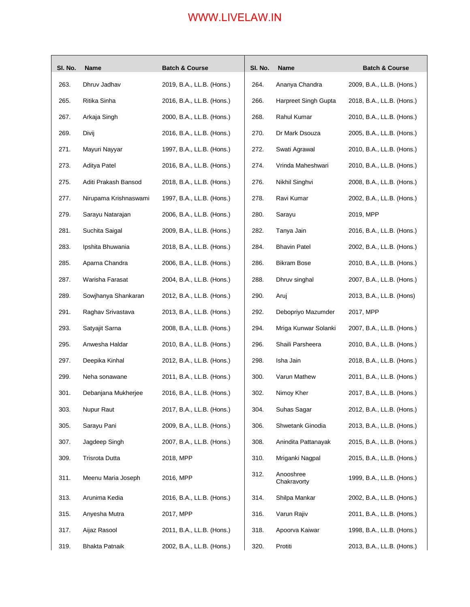| SI. No. | <b>Name</b>           | <b>Batch &amp; Course</b> | SI. No. | Name                     | <b>Batch &amp; Course</b> |
|---------|-----------------------|---------------------------|---------|--------------------------|---------------------------|
| 263.    | Dhruv Jadhav          | 2019, B.A., LL.B. (Hons.) | 264.    | Ananya Chandra           | 2009, B.A., LL.B. (Hons.) |
| 265.    | Ritika Sinha          | 2016, B.A., LL.B. (Hons.) | 266.    | Harpreet Singh Gupta     | 2018, B.A., LL.B. (Hons.) |
| 267.    | Arkaja Singh          | 2000, B.A., LL.B. (Hons.) | 268.    | Rahul Kumar              | 2010, B.A., LL.B. (Hons.) |
| 269.    | Divij                 | 2016, B.A., LL.B. (Hons.) | 270.    | Dr Mark Dsouza           | 2005, B.A., LL.B. (Hons.) |
| 271.    | Mayuri Nayyar         | 1997, B.A., LL.B. (Hons.) | 272.    | Swati Agrawal            | 2010, B.A., LL.B. (Hons.) |
| 273.    | Aditya Patel          | 2016, B.A., LL.B. (Hons.) | 274.    | Vrinda Maheshwari        | 2010, B.A., LL.B. (Hons.) |
| 275.    | Aditi Prakash Bansod  | 2018, B.A., LL.B. (Hons.) | 276.    | Nikhil Singhvi           | 2008, B.A., LL.B. (Hons.) |
| 277.    | Nirupama Krishnaswami | 1997, B.A., LL.B. (Hons.) | 278.    | Ravi Kumar               | 2002, B.A., LL.B. (Hons.) |
| 279.    | Sarayu Natarajan      | 2006, B.A., LL.B. (Hons.) | 280.    | Sarayu                   | 2019, MPP                 |
| 281.    | Suchita Saigal        | 2009, B.A., LL.B. (Hons.) | 282.    | Tanya Jain               | 2016, B.A., LL.B. (Hons.) |
| 283.    | Ipshita Bhuwania      | 2018, B.A., LL.B. (Hons.) | 284.    | <b>Bhavin Patel</b>      | 2002, B.A., LL.B. (Hons.) |
| 285.    | Aparna Chandra        | 2006, B.A., LL.B. (Hons.) | 286.    | <b>Bikram Bose</b>       | 2010, B.A., LL.B. (Hons.) |
| 287.    | Warisha Farasat       | 2004, B.A., LL.B. (Hons.) | 288.    | Dhruv singhal            | 2007, B.A., LL.B. (Hons.) |
| 289.    | Sowjhanya Shankaran   | 2012, B.A., LL.B. (Hons.) | 290.    | Aruj                     | 2013, B.A., LL.B. (Hons)  |
| 291.    | Raghav Srivastava     | 2013, B.A., LL.B. (Hons.) | 292.    | Debopriyo Mazumder       | 2017, MPP                 |
| 293.    | Satyajit Sarna        | 2008, B.A., LL.B. (Hons.) | 294.    | Mriga Kunwar Solanki     | 2007, B.A., LL.B. (Hons.) |
| 295.    | Anwesha Haldar        | 2010, B.A., LL.B. (Hons.) | 296.    | Shaili Parsheera         | 2010, B.A., LL.B. (Hons.) |
| 297.    | Deepika Kinhal        | 2012, B.A., LL.B. (Hons.) | 298.    | Isha Jain                | 2018, B.A., LL.B. (Hons.) |
| 299.    | Neha sonawane         | 2011, B.A., LL.B. (Hons.) | 300.    | Varun Mathew             | 2011, B.A., LL.B. (Hons.) |
| 301.    | Debanjana Mukherjee   | 2016, B.A., LL.B. (Hons.) | 302.    | Nimoy Kher               | 2017, B.A., LL.B. (Hons.) |
| 303.    | Nupur Raut            | 2017, B.A., LL.B. (Hons.) | 304.    | Suhas Sagar              | 2012, B.A., LL.B. (Hons.) |
| 305.    | Sarayu Pani           | 2009, B.A., LL.B. (Hons.) | 306.    | Shwetank Ginodia         | 2013, B.A., LL.B. (Hons.) |
| 307.    | Jagdeep Singh         | 2007, B.A., LL.B. (Hons.) | 308.    | Anindita Pattanayak      | 2015, B.A., LL.B. (Hons.) |
| 309.    | <b>Trisrota Dutta</b> | 2018, MPP                 | 310.    | Mriganki Nagpal          | 2015, B.A., LL.B. (Hons.) |
| 311.    | Meenu Maria Joseph    | 2016, MPP                 | 312.    | Anooshree<br>Chakravorty | 1999, B.A., LL.B. (Hons.) |
| 313.    | Arunima Kedia         | 2016, B.A., LL.B. (Hons.) | 314.    | Shilpa Mankar            | 2002, B.A., LL.B. (Hons.) |
| 315.    | Anyesha Mutra         | 2017, MPP                 | 316.    | Varun Rajiv              | 2011, B.A., LL.B. (Hons.) |
| 317.    | Aijaz Rasool          | 2011, B.A., LL.B. (Hons.) | 318.    | Apoorva Kaiwar           | 1998, B.A., LL.B. (Hons.) |
| 319.    | <b>Bhakta Patnaik</b> | 2002, B.A., LL.B. (Hons.) | 320.    | Protiti                  | 2013, B.A., LL.B. (Hons.) |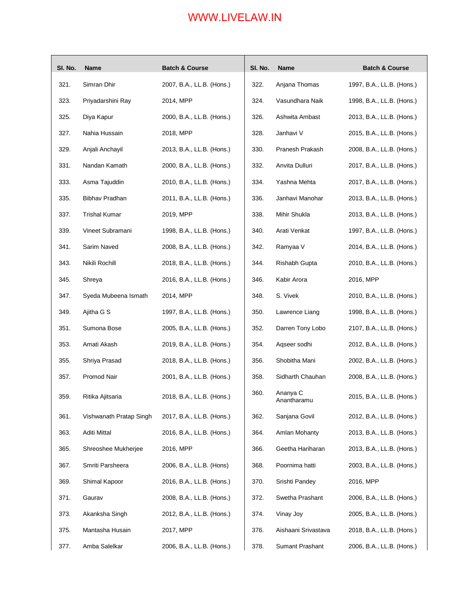| SI. No. | Name                    | <b>Batch &amp; Course</b> | SI. No. | Name                    | <b>Batch &amp; Course</b> |
|---------|-------------------------|---------------------------|---------|-------------------------|---------------------------|
| 321.    | Simran Dhir             | 2007, B.A., LL.B. (Hons.) | 322.    | Anjana Thomas           | 1997, B.A., LL.B. (Hons.) |
| 323.    | Priyadarshini Ray       | 2014, MPP                 | 324.    | Vasundhara Naik         | 1998, B.A., LL.B. (Hons.) |
| 325.    | Diya Kapur              | 2000, B.A., LL.B. (Hons.) | 326.    | Ashwita Ambast          | 2013, B.A., LL.B. (Hons.) |
| 327.    | Nahia Hussain           | 2018, MPP                 | 328.    | Janhavi V               | 2015, B.A., LL.B. (Hons.) |
| 329.    | Anjali Anchayil         | 2013, B.A., LL.B. (Hons.) | 330.    | Pranesh Prakash         | 2008, B.A., LL.B. (Hons.) |
| 331.    | Nandan Kamath           | 2000, B.A., LL.B. (Hons.) | 332.    | Anvita Dulluri          | 2017, B.A., LL.B. (Hons.) |
| 333.    | Asma Tajuddin           | 2010, B.A., LL.B. (Hons.) | 334.    | Yashna Mehta            | 2017, B.A., LL.B. (Hons.) |
| 335.    | Bibhav Pradhan          | 2011, B.A., LL.B. (Hons.) | 336.    | Janhavi Manohar         | 2013, B.A., LL.B. (Hons.) |
| 337.    | <b>Trishal Kumar</b>    | 2019, MPP                 | 338.    | Mihir Shukla            | 2013, B.A., LL.B. (Hons.) |
| 339.    | Vineet Subramani        | 1998, B.A., LL.B. (Hons.) | 340.    | Arati Venkat            | 1997, B.A., LL.B. (Hons.) |
| 341.    | Sarim Naved             | 2008, B.A., LL.B. (Hons.) | 342.    | Ramyaa V                | 2014, B.A., LL.B. (Hons.) |
| 343.    | Nikili Rochill          | 2018, B.A., LL.B. (Hons.) | 344.    | Rishabh Gupta           | 2010, B.A., LL.B. (Hons.) |
| 345.    | Shreya                  | 2016, B.A., LL.B. (Hons.) | 346.    | Kabir Arora             | 2016, MPP                 |
| 347.    | Syeda Mubeena Ismath    | 2014, MPP                 | 348.    | S. Vivek                | 2010, B.A., LL.B. (Hons.) |
| 349.    | Ajitha G S              | 1997, B.A., LL.B. (Hons.) | 350.    | Lawrence Liang          | 1998, B.A., LL.B. (Hons.) |
| 351.    | Sumona Bose             | 2005, B.A., LL.B. (Hons.) | 352.    | Darren Tony Lobo        | 2107, B.A., LL.B. (Hons.) |
| 353.    | Amati Akash             | 2019, B.A., LL.B. (Hons.) | 354.    | Aqseer sodhi            | 2012, B.A., LL.B. (Hons.) |
| 355.    | Shriya Prasad           | 2018, B.A., LL.B. (Hons.) | 356.    | Shobitha Mani           | 2002, B.A., LL.B. (Hons.) |
| 357.    | Promod Nair             | 2001, B.A., LL.B. (Hons.) | 358.    | Sidharth Chauhan        | 2008, B.A., LL.B. (Hons.) |
| 359.    | Ritika Ajitsaria        | 2018, B.A., LL.B. (Hons.) | 360.    | Ananya C<br>Anantharamu | 2015, B.A., LL.B. (Hons.) |
| 361.    | Vishwanath Pratap Singh | 2017, B.A., LL.B. (Hons.) | 362.    | Sanjana Govil           | 2012, B.A., LL.B. (Hons.) |
| 363.    | Aditi Mittal            | 2016, B.A., LL.B. (Hons.) | 364.    | Amlan Mohanty           | 2013, B.A., LL.B. (Hons.) |
| 365.    | Shreoshee Mukherjee     | 2016, MPP                 | 366.    | Geetha Hariharan        | 2013, B.A., LL.B. (Hons.) |
| 367.    | Smriti Parsheera        | 2006, B.A., LL.B. (Hons)  | 368.    | Poornima hatti          | 2003, B.A., LL.B. (Hons.) |
| 369.    | Shimal Kapoor           | 2016, B.A., LL.B. (Hons.) | 370.    | Srishti Pandey          | 2016, MPP                 |
| 371.    | Gaurav                  | 2008, B.A., LL.B. (Hons.) | 372.    | Swetha Prashant         | 2006, B.A., LL.B. (Hons.) |
| 373.    | Akanksha Singh          | 2012, B.A., LL.B. (Hons.) | 374.    | Vinay Joy               | 2005, B.A., LL.B. (Hons.) |
| 375.    | Mantasha Husain         | 2017, MPP                 | 376.    | Aishaani Srivastava     | 2018, B.A., LL.B. (Hons.) |
| 377.    | Amba Salelkar           | 2006, B.A., LL.B. (Hons.) | 378.    | Sumant Prashant         | 2006, B.A., LL.B. (Hons.) |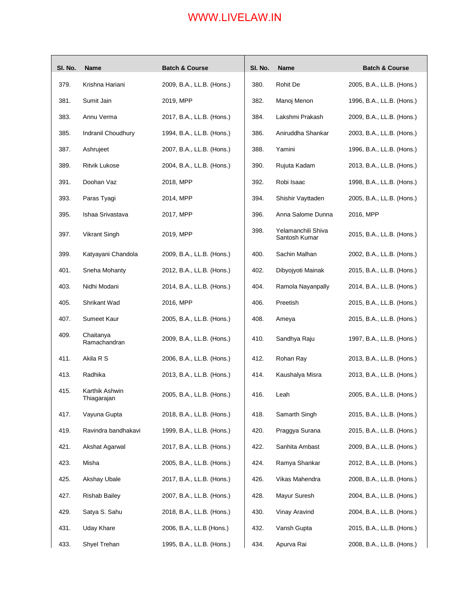| SI. No. | Name                          | <b>Batch &amp; Course</b> | SI. No. | Name                                | <b>Batch &amp; Course</b> |
|---------|-------------------------------|---------------------------|---------|-------------------------------------|---------------------------|
| 379.    | Krishna Hariani               | 2009, B.A., LL.B. (Hons.) | 380.    | Rohit De                            | 2005, B.A., LL.B. (Hons.) |
| 381.    | Sumit Jain                    | 2019, MPP                 | 382.    | Manoj Menon                         | 1996, B.A., LL.B. (Hons.) |
| 383.    | Annu Verma                    | 2017, B.A., LL.B. (Hons.) | 384.    | Lakshmi Prakash                     | 2009, B.A., LL.B. (Hons.) |
| 385.    | Indranil Choudhury            | 1994, B.A., LL.B. (Hons.) | 386.    | Aniruddha Shankar                   | 2003, B.A., LL.B. (Hons.) |
| 387.    | Ashrujeet                     | 2007, B.A., LL.B. (Hons.) | 388.    | Yamini                              | 1996, B.A., LL.B. (Hons.) |
| 389.    | <b>Ritvik Lukose</b>          | 2004, B.A., LL.B. (Hons.) | 390.    | Rujuta Kadam                        | 2013, B.A., LL.B. (Hons.) |
| 391.    | Doohan Vaz                    | 2018, MPP                 | 392.    | Robi Isaac                          | 1998, B.A., LL.B. (Hons.) |
| 393.    | Paras Tyagi                   | 2014, MPP                 | 394.    | Shishir Vayttaden                   | 2005, B.A., LL.B. (Hons.) |
| 395.    | Ishaa Srivastava              | 2017, MPP                 | 396.    | Anna Salome Dunna                   | 2016, MPP                 |
| 397.    | Vikrant Singh                 | 2019, MPP                 | 398.    | Yelamanchili Shiva<br>Santosh Kumar | 2015, B.A., LL.B. (Hons.) |
| 399.    | Katyayani Chandola            | 2009, B.A., LL.B. (Hons.) | 400.    | Sachin Malhan                       | 2002, B.A., LL.B. (Hons.) |
| 401.    | Sneha Mohanty                 | 2012, B.A., LL.B. (Hons.) | 402.    | Dibyojyoti Mainak                   | 2015, B.A., LL.B. (Hons.) |
| 403.    | Nidhi Modani                  | 2014, B.A., LL.B. (Hons.) | 404.    | Ramola Nayanpally                   | 2014, B.A., LL.B. (Hons.) |
| 405.    | Shrikant Wad                  | 2016, MPP                 | 406.    | Preetish                            | 2015, B.A., LL.B. (Hons.) |
| 407.    | Sumeet Kaur                   | 2005, B.A., LL.B. (Hons.) | 408.    | Ameya                               | 2015, B.A., LL.B. (Hons.) |
| 409.    | Chaitanya<br>Ramachandran     | 2009, B.A., LL.B. (Hons.) | 410.    | Sandhya Raju                        | 1997, B.A., LL.B. (Hons.) |
| 411.    | Akila R S                     | 2006, B.A., LL.B. (Hons.) | 412.    | Rohan Ray                           | 2013, B.A., LL.B. (Hons.) |
| 413.    | Radhika                       | 2013, B.A., LL.B. (Hons.) | 414.    | Kaushalya Misra                     | 2013, B.A., LL.B. (Hons.) |
| 415.    | Karthik Ashwin<br>Thiagarajan | 2005, B.A., LL.B. (Hons.) | 416.    | Leah                                | 2005, B.A., LL.B. (Hons.) |
| 417.    | Vayuna Gupta                  | 2018, B.A., LL.B. (Hons.) | 418.    | Samarth Singh                       | 2015, B.A., LL.B. (Hons.) |
| 419.    | Ravindra bandhakavi           | 1999, B.A., LL.B. (Hons.) | 420.    | Praggya Surana                      | 2015, B.A., LL.B. (Hons.) |
| 421.    | Akshat Agarwal                | 2017, B.A., LL.B. (Hons.) | 422.    | Sanhita Ambast                      | 2009, B.A., LL.B. (Hons.) |
| 423.    | Misha                         | 2005, B.A., LL.B. (Hons.) | 424.    | Ramya Shankar                       | 2012, B.A., LL.B. (Hons.) |
| 425.    | Akshay Ubale                  | 2017, B.A., LL.B. (Hons.) | 426.    | Vikas Mahendra                      | 2008, B.A., LL.B. (Hons.) |
| 427.    | <b>Rishab Bailey</b>          | 2007, B.A., LL.B. (Hons.) | 428.    | Mayur Suresh                        | 2004, B.A., LL.B. (Hons.) |
| 429.    | Satya S. Sahu                 | 2018, B.A., LL.B. (Hons.) | 430.    | Vinay Aravind                       | 2004, B.A., LL.B. (Hons.) |
| 431.    | <b>Uday Khare</b>             | 2006, B.A., LL.B (Hons.)  | 432.    | Vansh Gupta                         | 2015, B.A., LL.B. (Hons.) |
| 433.    | Shyel Trehan                  | 1995, B.A., LL.B. (Hons.) | 434.    | Apurva Rai                          | 2008, B.A., LL.B. (Hons.) |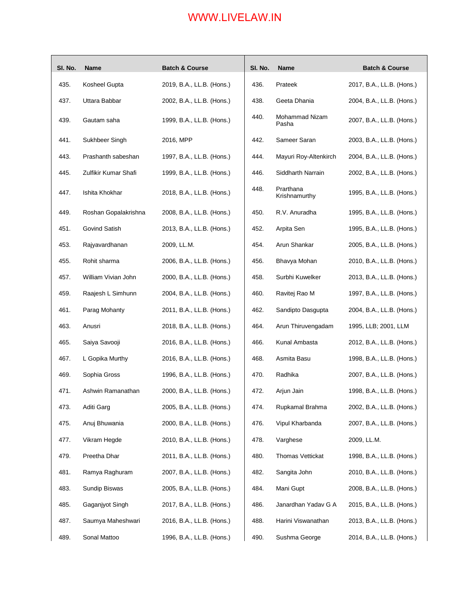| SI. No. | <b>Name</b>          | <b>Batch &amp; Course</b> | SI. No. | <b>Name</b>                | <b>Batch &amp; Course</b> |
|---------|----------------------|---------------------------|---------|----------------------------|---------------------------|
| 435.    | Kosheel Gupta        | 2019, B.A., LL.B. (Hons.) | 436.    | Prateek                    | 2017, B.A., LL.B. (Hons.) |
| 437.    | Uttara Babbar        | 2002, B.A., LL.B. (Hons.) | 438.    | Geeta Dhania               | 2004, B.A., LL.B. (Hons.) |
| 439.    | Gautam saha          | 1999, B.A., LL.B. (Hons.) | 440.    | Mohammad Nizam<br>Pasha    | 2007, B.A., LL.B. (Hons.) |
| 441.    | Sukhbeer Singh       | 2016, MPP                 | 442.    | Sameer Saran               | 2003, B.A., LL.B. (Hons.) |
| 443.    | Prashanth sabeshan   | 1997, B.A., LL.B. (Hons.) | 444.    | Mayuri Roy-Altenkirch      | 2004, B.A., LL.B. (Hons.) |
| 445.    | Zulfikir Kumar Shafi | 1999, B.A., LL.B. (Hons.) | 446.    | Siddharth Narrain          | 2002, B.A., LL.B. (Hons.) |
| 447.    | Ishita Khokhar       | 2018, B.A., LL.B. (Hons.) | 448.    | Prarthana<br>Krishnamurthy | 1995, B.A., LL.B. (Hons.) |
| 449.    | Roshan Gopalakrishna | 2008, B.A., LL.B. (Hons.) | 450.    | R.V. Anuradha              | 1995, B.A., LL.B. (Hons.) |
| 451.    | Govind Satish        | 2013, B.A., LL.B. (Hons.) | 452.    | Arpita Sen                 | 1995, B.A., LL.B. (Hons.) |
| 453.    | Rajyavardhanan       | 2009, LL.M.               | 454.    | Arun Shankar               | 2005, B.A., LL.B. (Hons.) |
| 455.    | Rohit sharma         | 2006, B.A., LL.B. (Hons.) | 456.    | Bhavya Mohan               | 2010, B.A., LL.B. (Hons.) |
| 457.    | William Vivian John  | 2000, B.A., LL.B. (Hons.) | 458.    | Surbhi Kuwelker            | 2013, B.A., LL.B. (Hons.) |
| 459.    | Raajesh L Simhunn    | 2004, B.A., LL.B. (Hons.) | 460.    | Ravitej Rao M              | 1997, B.A., LL.B. (Hons.) |
| 461.    | Parag Mohanty        | 2011, B.A., LL.B. (Hons.) | 462.    | Sandipto Dasgupta          | 2004, B.A., LL.B. (Hons.) |
| 463.    | Anusri               | 2018, B.A., LL.B. (Hons.) | 464.    | Arun Thiruvengadam         | 1995, LLB; 2001, LLM      |
| 465.    | Saiya Savooji        | 2016, B.A., LL.B. (Hons.) | 466.    | Kunal Ambasta              | 2012, B.A., LL.B. (Hons.) |
| 467.    | L Gopika Murthy      | 2016, B.A., LL.B. (Hons.) | 468.    | Asmita Basu                | 1998, B.A., LL.B. (Hons.) |
| 469.    | Sophia Gross         | 1996, B.A., LL.B. (Hons.) | 470.    | Radhika                    | 2007, B.A., LL.B. (Hons.) |
| 471.    | Ashwin Ramanathan    | 2000, B.A., LL.B. (Hons.) | 472.    | Arjun Jain                 | 1998, B.A., LL.B. (Hons.) |
| 473.    | Aditi Garg           | 2005, B.A., LL.B. (Hons.) | 474.    | Rupkamal Brahma            | 2002, B.A., LL.B. (Hons.) |
| 475.    | Anuj Bhuwania        | 2000, B.A., LL.B. (Hons.) | 476.    | Vipul Kharbanda            | 2007, B.A., LL.B. (Hons.) |
| 477.    | Vikram Hegde         | 2010, B.A., LL.B. (Hons.) | 478.    | Varghese                   | 2009, LL.M.               |
| 479.    | Preetha Dhar         | 2011, B.A., LL.B. (Hons.) | 480.    | Thomas Vettickat           | 1998, B.A., LL.B. (Hons.) |
| 481.    | Ramya Raghuram       | 2007, B.A., LL.B. (Hons.) | 482.    | Sangita John               | 2010, B.A., LL.B. (Hons.) |
| 483.    | Sundip Biswas        | 2005, B.A., LL.B. (Hons.) | 484.    | Mani Gupt                  | 2008, B.A., LL.B. (Hons.) |
| 485.    | Gaganjyot Singh      | 2017, B.A., LL.B. (Hons.) | 486.    | Janardhan Yadav G A        | 2015, B.A., LL.B. (Hons.) |
| 487.    | Saumya Maheshwari    | 2016, B.A., LL.B. (Hons.) | 488.    | Harini Viswanathan         | 2013, B.A., LL.B. (Hons.) |
| 489.    | Sonal Mattoo         | 1996, B.A., LL.B. (Hons.) | 490.    | Sushma George              | 2014, B.A., LL.B. (Hons.) |